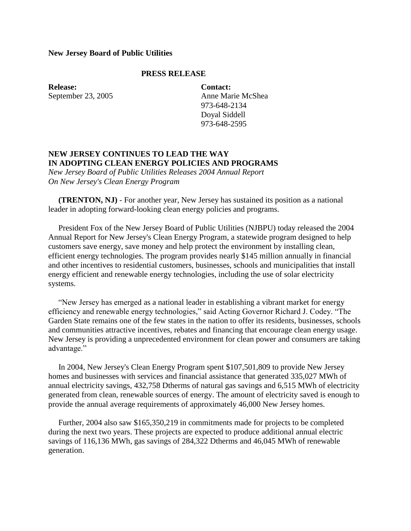## **New Jersey Board of Public Utilities**

## **PRESS RELEASE**

**Release:** September 23, 2005 **Contact:** Anne Marie McShea 973-648-2134 Doyal Siddell 973-648-2595

## **NEW JERSEY CONTINUES TO LEAD THE WAY IN ADOPTING CLEAN ENERGY POLICIES AND PROGRAMS**

*New Jersey Board of Public Utilities Releases 2004 Annual Report On New Jersey's Clean Energy Program*

 **(TRENTON, NJ)** - For another year, New Jersey has sustained its position as a national leader in adopting forward-looking clean energy policies and programs.

 President Fox of the New Jersey Board of Public Utilities (NJBPU) today released the 2004 Annual Report for New Jersey's Clean Energy Program, a statewide program designed to help customers save energy, save money and help protect the environment by installing clean, efficient energy technologies. The program provides nearly \$145 million annually in financial and other incentives to residential customers, businesses, schools and municipalities that install energy efficient and renewable energy technologies, including the use of solar electricity systems.

 "New Jersey has emerged as a national leader in establishing a vibrant market for energy efficiency and renewable energy technologies," said Acting Governor Richard J. Codey. "The Garden State remains one of the few states in the nation to offer its residents, businesses, schools and communities attractive incentives, rebates and financing that encourage clean energy usage. New Jersey is providing a unprecedented environment for clean power and consumers are taking advantage."

 In 2004, New Jersey's Clean Energy Program spent \$107,501,809 to provide New Jersey homes and businesses with services and financial assistance that generated 335,027 MWh of annual electricity savings, 432,758 Dtherms of natural gas savings and 6,515 MWh of electricity generated from clean, renewable sources of energy. The amount of electricity saved is enough to provide the annual average requirements of approximately 46,000 New Jersey homes.

 Further, 2004 also saw \$165,350,219 in commitments made for projects to be completed during the next two years. These projects are expected to produce additional annual electric savings of 116,136 MWh, gas savings of 284,322 Dtherms and 46,045 MWh of renewable generation.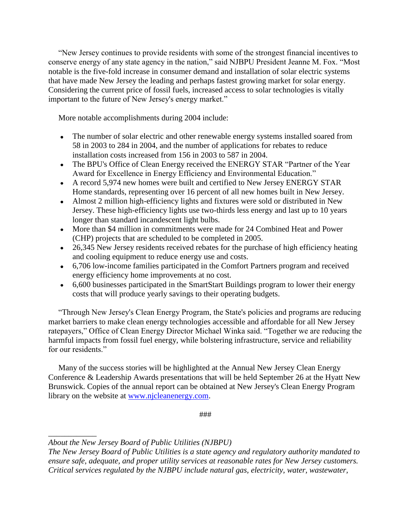"New Jersey continues to provide residents with some of the strongest financial incentives to conserve energy of any state agency in the nation," said NJBPU President Jeanne M. Fox. "Most notable is the five-fold increase in consumer demand and installation of solar electric systems that have made New Jersey the leading and perhaps fastest growing market for solar energy. Considering the current price of fossil fuels, increased access to solar technologies is vitally important to the future of New Jersey's energy market."

More notable accomplishments during 2004 include:

- The number of solar electric and other renewable energy systems installed soared from 58 in 2003 to 284 in 2004, and the number of applications for rebates to reduce installation costs increased from 156 in 2003 to 587 in 2004.
- The BPU's Office of Clean Energy received the ENERGY STAR "Partner of the Year" Award for Excellence in Energy Efficiency and Environmental Education."
- A record 5,974 new homes were built and certified to New Jersey ENERGY STAR Home standards, representing over 16 percent of all new homes built in New Jersey.
- Almost 2 million high-efficiency lights and fixtures were sold or distributed in New Jersey. These high-efficiency lights use two-thirds less energy and last up to 10 years longer than standard incandescent light bulbs.
- More than \$4 million in commitments were made for 24 Combined Heat and Power (CHP) projects that are scheduled to be completed in 2005.
- 26,345 New Jersey residents received rebates for the purchase of high efficiency heating and cooling equipment to reduce energy use and costs.
- 6,706 low-income families participated in the Comfort Partners program and received energy efficiency home improvements at no cost.
- 6,600 businesses participated in the SmartStart Buildings program to lower their energy costs that will produce yearly savings to their operating budgets.

 "Through New Jersey's Clean Energy Program, the State's policies and programs are reducing market barriers to make clean energy technologies accessible and affordable for all New Jersey ratepayers," Office of Clean Energy Director Michael Winka said. "Together we are reducing the harmful impacts from fossil fuel energy, while bolstering infrastructure, service and reliability for our residents."

 Many of the success stories will be highlighted at the Annual New Jersey Clean Energy Conference & Leadership Awards presentations that will be held September 26 at the Hyatt New Brunswick. Copies of the annual report can be obtained at New Jersey's Clean Energy Program library on the website at [www.njcleanenergy.com.](http://www.njcleanenergy.com/)

###

*\_\_\_\_\_\_\_\_\_\_\_\_*

*About the New Jersey Board of Public Utilities (NJBPU)*

*The New Jersey Board of Public Utilities is a state agency and regulatory authority mandated to ensure safe, adequate, and proper utility services at reasonable rates for New Jersey customers. Critical services regulated by the NJBPU include natural gas, electricity, water, wastewater,*